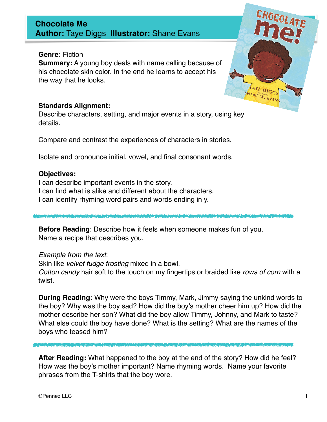### **Chocolate Me Author:** Taye Diggs **Illustrator:** Shane Evans

### **Genre:** Fiction

**Summary:** A young boy deals with name calling because of his chocolate skin color. In the end he learns to accept his the way that he looks.



#### **Standards Alignment:**

Describe characters, setting, and major events in a story, using key details.

Compare and contrast the experiences of characters in stories.

Isolate and pronounce initial, vowel, and final consonant words.

#### **Objectives:**

I can describe important events in the story. I can find what is alike and different about the characters. I can identify rhyming word pairs and words ending in y.

**Before Reading**: Describe how it feels when someone makes fun of you. Name a recipe that describes you.

Example from the text:

Skin like velvet fudge frosting mixed in a bowl.

Cotton candy hair soft to the touch on my fingertips or braided like rows of corn with a twist.

**During Reading:** Why were the boys Timmy, Mark, Jimmy saying the unkind words to the boy? Why was the boy sad? How did the boy's mother cheer him up? How did the mother describe her son? What did the boy allow Timmy, Johnny, and Mark to taste? What else could the boy have done? What is the setting? What are the names of the boys who teased him?

**After Reading:** What happened to the boy at the end of the story? How did he feel? How was the boy's mother important? Name rhyming words. Name your favorite phrases from the T-shirts that the boy wore.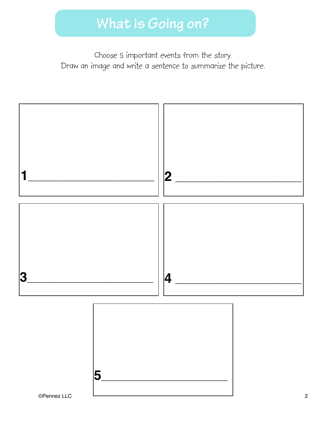Choose 5 important events from the story. Draw an image and write a sentence to summarize the picture.



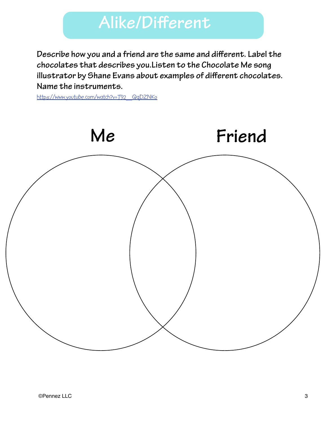## **Alike/Different**

chocolates that describes you.Listen to the Chocolate Me song<br>illustrates by Ghane Fuero chart avenual so of different chooslet **Describe how you and a friend are the same and different. Label the illustrator by Shane Evans about examples of different chocolates. Name the instruments.** 

[https://www.youtube.com/watch?v=T92\\_QqDZNKo](https://www.youtube.com/watch?v=T92_QqDZNKo)

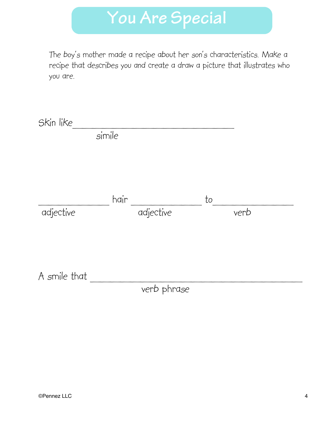# **You Are Special**

The boy's mother made a recipe about her son's characteristics. Make a recipe that describes you and create a draw a picture that illustrates who you are.

| Skin like    |        |             |    |      |
|--------------|--------|-------------|----|------|
|              | simile |             |    |      |
|              |        |             |    |      |
|              |        |             |    |      |
|              |        |             |    |      |
|              | hair   |             | to |      |
| adjective    |        | adjective   |    | verb |
|              |        |             |    |      |
|              |        |             |    |      |
|              |        |             |    |      |
| A smile that |        |             |    |      |
|              |        | verb phrase |    |      |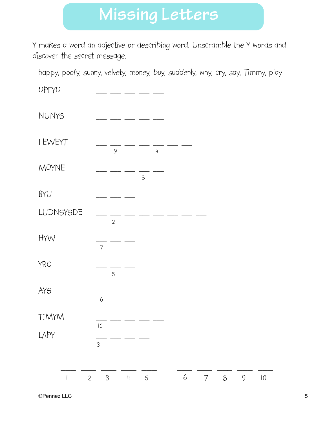## **Missing Letters**

Y makes a word an adjective or describing word. Unscramble the Y words and discover the secret message.

happy, poofy, sunny, velvety, money, buy, suddenly, why, cry, say, Timmy, play

OPFYO ! ! \_\_\_ \_\_\_ \_\_\_ \_\_\_ \_\_\_ NUNYS !!! 1 LEWEYT  $\frac{1}{9} - \frac{1}{9} - \frac{1}{4}$ !!! 9! ! 4  $M\text{OYNE}$   $\frac{1}{8}$  $8<sup>th</sup>$ BYU!! ! \_\_\_ \_\_\_ \_\_\_ **LUDNSYSDE 2**  $HYW \qquad \qquad \frac{1}{7}$ !!! 7 YRC!! ! \_\_\_ \_\_\_ \_\_\_ **31.5**  $AYS$   $\qquad \qquad \frac{1}{6}$  $\sim$  6  $TIMYM$   $\frac{1}{10}$ **10** LAPY<br> 3 \_\_\_ \_\_\_ \_\_\_ \_\_\_ \_\_\_ \_\_\_ \_\_\_ \_\_\_ \_\_\_ \_\_\_ 1 2 3 4 5 6 7 8 9 10